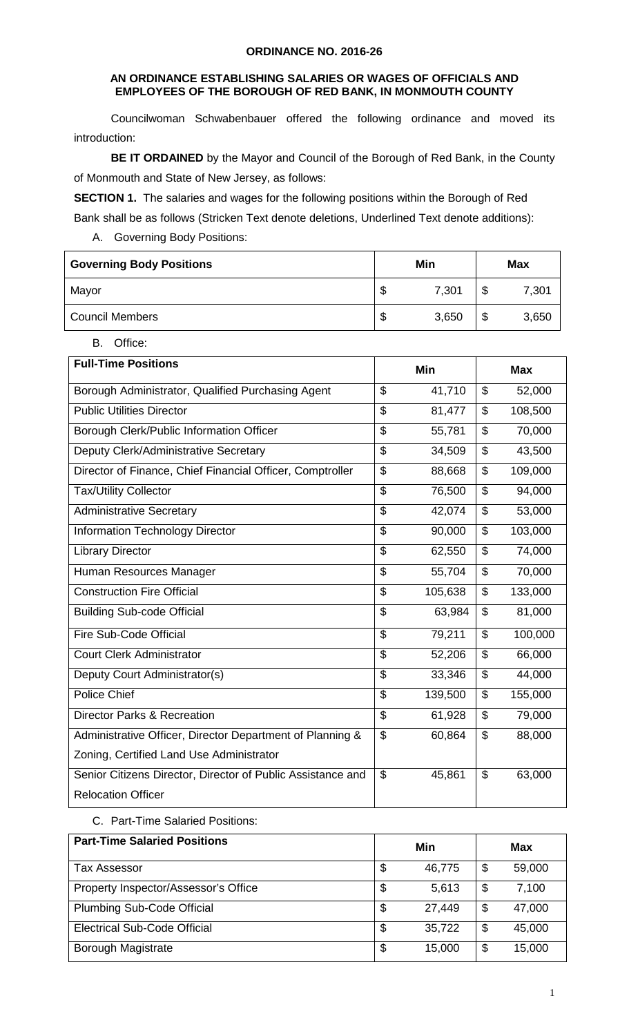#### **AN ORDINANCE ESTABLISHING SALARIES OR WAGES OF OFFICIALS AND EMPLOYEES OF THE BOROUGH OF RED BANK, IN MONMOUTH COUNTY**

Councilwoman Schwabenbauer offered the following ordinance and moved its introduction:

**BE IT ORDAINED** by the Mayor and Council of the Borough of Red Bank, in the County of Monmouth and State of New Jersey, as follows:

**SECTION 1.** The salaries and wages for the following positions within the Borough of Red

Bank shall be as follows (Stricken Text denote deletions, Underlined Text denote additions):

A. Governing Body Positions:

| <b>Governing Body Positions</b> | Min |       | <b>Max</b> |       |
|---------------------------------|-----|-------|------------|-------|
| Mayor                           | S   | 7,301 | ́∩<br>ง    | 7,301 |
| <b>Council Members</b>          | \$  | 3,650 | ╓<br>Φ     | 3,650 |

B. Office:

| <b>Full-Time Positions</b>                                  |                          | <b>Min</b> | <b>Max</b> |         |  |
|-------------------------------------------------------------|--------------------------|------------|------------|---------|--|
| Borough Administrator, Qualified Purchasing Agent           | \$                       | 41,710     | \$         | 52,000  |  |
| <b>Public Utilities Director</b>                            | \$                       | 81,477     | \$         | 108,500 |  |
| Borough Clerk/Public Information Officer                    | $\overline{\mathcal{S}}$ | 55,781     | \$         | 70,000  |  |
| Deputy Clerk/Administrative Secretary                       | \$                       | 34,509     | \$         | 43,500  |  |
| Director of Finance, Chief Financial Officer, Comptroller   | \$                       | 88,668     | \$         | 109,000 |  |
| Tax/Utility Collector                                       | $\mathfrak{L}$           | 76,500     | \$         | 94,000  |  |
| <b>Administrative Secretary</b>                             | $\mathfrak{L}$           | 42,074     | \$         | 53,000  |  |
| <b>Information Technology Director</b>                      | \$                       | 90,000     | \$         | 103,000 |  |
| <b>Library Director</b>                                     | \$                       | 62,550     | \$         | 74,000  |  |
| Human Resources Manager                                     | $\overline{\mathcal{S}}$ | 55,704     | \$         | 70,000  |  |
| <b>Construction Fire Official</b>                           | \$                       | 105,638    | \$         | 133,000 |  |
| <b>Building Sub-code Official</b>                           | \$                       | 63,984     | \$         | 81,000  |  |
| <b>Fire Sub-Code Official</b>                               | \$                       | 79,211     | \$         | 100,000 |  |
| <b>Court Clerk Administrator</b>                            | $\mathfrak{L}$           | 52,206     | \$         | 66,000  |  |
| Deputy Court Administrator(s)                               | $\overline{\mathcal{S}}$ | 33,346     | \$         | 44,000  |  |
| <b>Police Chief</b>                                         | \$                       | 139,500    | \$         | 155,000 |  |
| <b>Director Parks &amp; Recreation</b>                      | $\mathfrak{S}$           | 61,928     | \$         | 79,000  |  |
| Administrative Officer, Director Department of Planning &   | $\mathfrak{L}$           | 60,864     | \$         | 88,000  |  |
| Zoning, Certified Land Use Administrator                    |                          |            |            |         |  |
| Senior Citizens Director, Director of Public Assistance and | \$                       | 45,861     | \$         | 63,000  |  |
| <b>Relocation Officer</b>                                   |                          |            |            |         |  |

C. Part-Time Salaried Positions:

| <b>Part-Time Salaried Positions</b>  | Min          | Max |        |  |
|--------------------------------------|--------------|-----|--------|--|
| Tax Assessor                         | \$<br>46,775 | \$  | 59,000 |  |
| Property Inspector/Assessor's Office | \$<br>5,613  | \$  | 7,100  |  |
| <b>Plumbing Sub-Code Official</b>    | \$<br>27,449 | \$  | 47,000 |  |
| <b>Electrical Sub-Code Official</b>  | \$<br>35,722 | \$  | 45,000 |  |
| Borough Magistrate                   | \$<br>15,000 | \$  | 15,000 |  |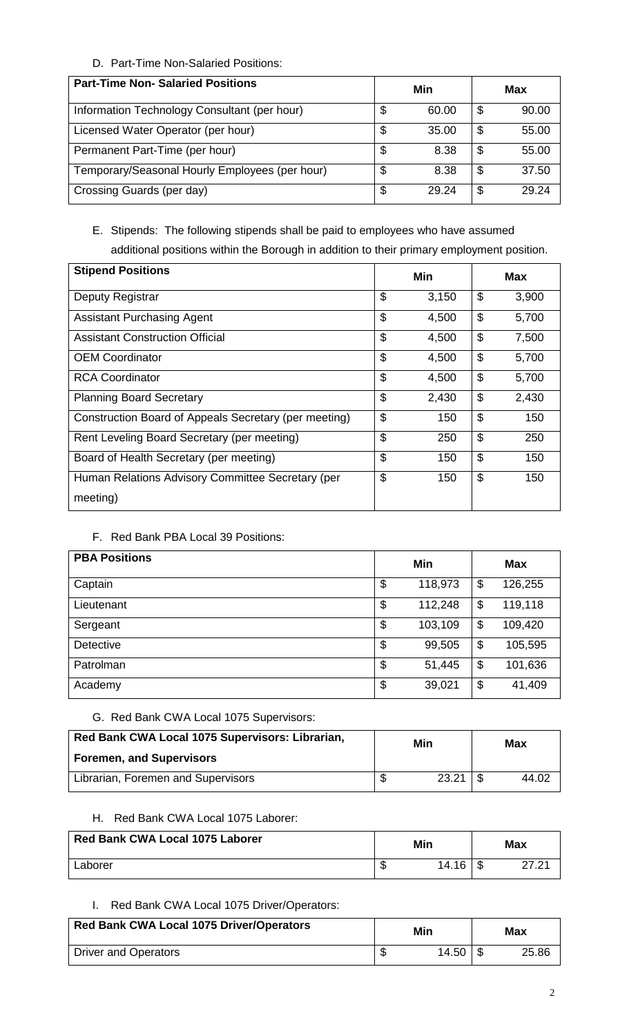## D. Part-Time Non-Salaried Positions:

| <b>Part-Time Non- Salaried Positions</b>       | Min         | Max |       |  |
|------------------------------------------------|-------------|-----|-------|--|
| Information Technology Consultant (per hour)   | \$<br>60.00 | \$  | 90.00 |  |
| Licensed Water Operator (per hour)             | \$<br>35.00 | \$  | 55.00 |  |
| Permanent Part-Time (per hour)                 | \$<br>8.38  | \$  | 55.00 |  |
| Temporary/Seasonal Hourly Employees (per hour) | \$<br>8.38  | \$  | 37.50 |  |
| Crossing Guards (per day)                      | \$<br>29.24 | \$  | 29.24 |  |

# E. Stipends: The following stipends shall be paid to employees who have assumed additional positions within the Borough in addition to their primary employment position.

| <b>Stipend Positions</b>                              | Min         | <b>Max</b>  |  |  |
|-------------------------------------------------------|-------------|-------------|--|--|
| Deputy Registrar                                      | \$<br>3,150 | \$<br>3,900 |  |  |
| <b>Assistant Purchasing Agent</b>                     | \$<br>4,500 | \$<br>5,700 |  |  |
| <b>Assistant Construction Official</b>                | \$<br>4,500 | \$<br>7,500 |  |  |
| <b>OEM Coordinator</b>                                | \$<br>4,500 | \$<br>5,700 |  |  |
| <b>RCA Coordinator</b>                                | \$<br>4,500 | \$<br>5,700 |  |  |
| <b>Planning Board Secretary</b>                       | \$<br>2,430 | \$<br>2,430 |  |  |
| Construction Board of Appeals Secretary (per meeting) | \$<br>150   | \$<br>150   |  |  |
| Rent Leveling Board Secretary (per meeting)           | \$<br>250   | \$<br>250   |  |  |
| Board of Health Secretary (per meeting)               | \$<br>150   | \$<br>150   |  |  |
| Human Relations Advisory Committee Secretary (per     | \$<br>150   | \$<br>150   |  |  |
| meeting)                                              |             |             |  |  |

## F. Red Bank PBA Local 39 Positions:

| <b>PBA Positions</b> | Min           | <b>Max</b> |         |  |
|----------------------|---------------|------------|---------|--|
| Captain              | \$<br>118,973 | \$         | 126,255 |  |
| Lieutenant           | \$<br>112,248 | \$         | 119,118 |  |
| Sergeant             | \$<br>103,109 | \$         | 109,420 |  |
| <b>Detective</b>     | \$<br>99,505  | \$         | 105,595 |  |
| Patrolman            | \$<br>51,445  | \$         | 101,636 |  |
| Academy              | \$<br>39,021  | \$         | 41,409  |  |

## G. Red Bank CWA Local 1075 Supervisors:

| Red Bank CWA Local 1075 Supervisors: Librarian,<br>Foremen, and Supervisors | Min |       | Max   |  |
|-----------------------------------------------------------------------------|-----|-------|-------|--|
| Librarian, Foremen and Supervisors                                          |     | 23.21 | 44.02 |  |

## H. Red Bank CWA Local 1075 Laborer:

| Red Bank CWA Local 1075 Laborer | Min |       | <b>Max</b>   |
|---------------------------------|-----|-------|--------------|
| Laborer                         |     | 14.16 | <u>ດສັດ4</u> |

## I. Red Bank CWA Local 1075 Driver/Operators:

| <b>Red Bank CWA Local 1075 Driver/Operators</b> | Min |       | Max   |
|-------------------------------------------------|-----|-------|-------|
| <b>Driver and Operators</b>                     |     | 14.50 | 25.86 |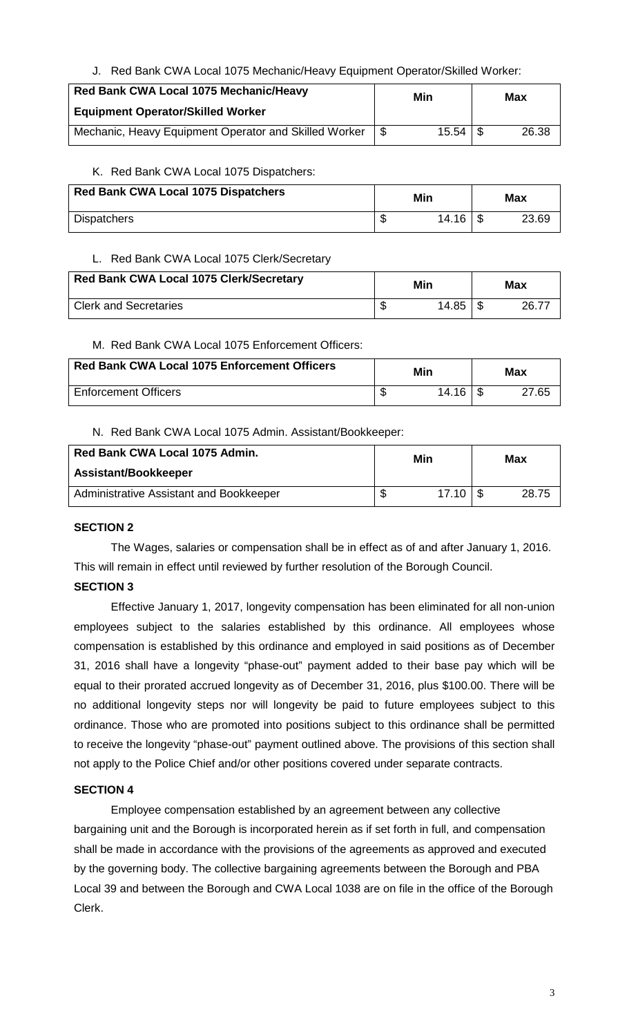J. Red Bank CWA Local 1075 Mechanic/Heavy Equipment Operator/Skilled Worker:

| Red Bank CWA Local 1075 Mechanic/Heavy                |      | Min          | Max   |
|-------------------------------------------------------|------|--------------|-------|
| <b>Equipment Operator/Skilled Worker</b>              |      |              |       |
| Mechanic, Heavy Equipment Operator and Skilled Worker | - \$ | $15.54$   \$ | 26.38 |

#### K. Red Bank CWA Local 1075 Dispatchers:

| Red Bank CWA Local 1075 Dispatchers | Min   |  | Max   |  |
|-------------------------------------|-------|--|-------|--|
| <b>Dispatchers</b>                  | 14.16 |  | 23.69 |  |

#### L. Red Bank CWA Local 1075 Clerk/Secretary

| <b>Red Bank CWA Local 1075 Clerk/Secretary</b> |   | Min   | Max   |
|------------------------------------------------|---|-------|-------|
| <b>Clerk and Secretaries</b>                   | œ | 14.85 | 26.77 |

### M. Red Bank CWA Local 1075 Enforcement Officers:

| <b>Red Bank CWA Local 1075 Enforcement Officers</b> | Min       | <b>Max</b> |
|-----------------------------------------------------|-----------|------------|
| <b>Enforcement Officers</b>                         | $14.16 +$ | 27.65      |

#### N. Red Bank CWA Local 1075 Admin. Assistant/Bookkeeper:

| Red Bank CWA Local 1075 Admin.          | Min         | Max   |  |
|-----------------------------------------|-------------|-------|--|
| Assistant/Bookkeeper                    |             |       |  |
| Administrative Assistant and Bookkeeper | 17.10<br>۰D | 28.75 |  |

### **SECTION 2**

The Wages, salaries or compensation shall be in effect as of and after January 1, 2016. This will remain in effect until reviewed by further resolution of the Borough Council.

### **SECTION 3**

Effective January 1, 2017, longevity compensation has been eliminated for all non-union employees subject to the salaries established by this ordinance. All employees whose compensation is established by this ordinance and employed in said positions as of December 31, 2016 shall have a longevity "phase-out" payment added to their base pay which will be equal to their prorated accrued longevity as of December 31, 2016, plus \$100.00. There will be no additional longevity steps nor will longevity be paid to future employees subject to this ordinance. Those who are promoted into positions subject to this ordinance shall be permitted to receive the longevity "phase-out" payment outlined above. The provisions of this section shall not apply to the Police Chief and/or other positions covered under separate contracts.

### **SECTION 4**

 Employee compensation established by an agreement between any collective bargaining unit and the Borough is incorporated herein as if set forth in full, and compensation shall be made in accordance with the provisions of the agreements as approved and executed by the governing body. The collective bargaining agreements between the Borough and PBA Local 39 and between the Borough and CWA Local 1038 are on file in the office of the Borough Clerk.